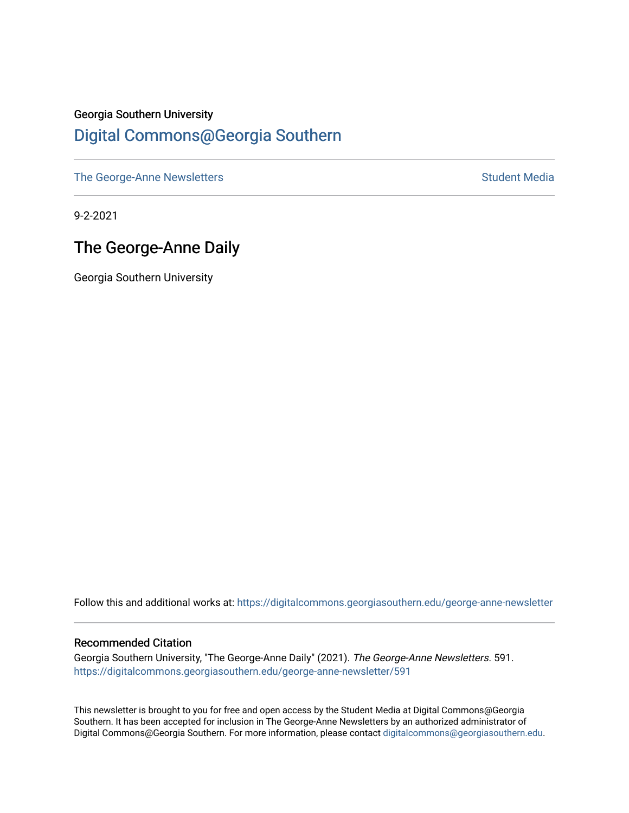# Georgia Southern University [Digital Commons@Georgia Southern](https://digitalcommons.georgiasouthern.edu/)

[The George-Anne Newsletters](https://digitalcommons.georgiasouthern.edu/george-anne-newsletter) **Student Media** Student Media

9-2-2021

# The George-Anne Daily

Georgia Southern University

Follow this and additional works at: [https://digitalcommons.georgiasouthern.edu/george-anne-newsletter](https://digitalcommons.georgiasouthern.edu/george-anne-newsletter?utm_source=digitalcommons.georgiasouthern.edu%2Fgeorge-anne-newsletter%2F591&utm_medium=PDF&utm_campaign=PDFCoverPages)

#### Recommended Citation

Georgia Southern University, "The George-Anne Daily" (2021). The George-Anne Newsletters. 591. [https://digitalcommons.georgiasouthern.edu/george-anne-newsletter/591](https://digitalcommons.georgiasouthern.edu/george-anne-newsletter/591?utm_source=digitalcommons.georgiasouthern.edu%2Fgeorge-anne-newsletter%2F591&utm_medium=PDF&utm_campaign=PDFCoverPages) 

This newsletter is brought to you for free and open access by the Student Media at Digital Commons@Georgia Southern. It has been accepted for inclusion in The George-Anne Newsletters by an authorized administrator of Digital Commons@Georgia Southern. For more information, please contact [digitalcommons@georgiasouthern.edu.](mailto:digitalcommons@georgiasouthern.edu)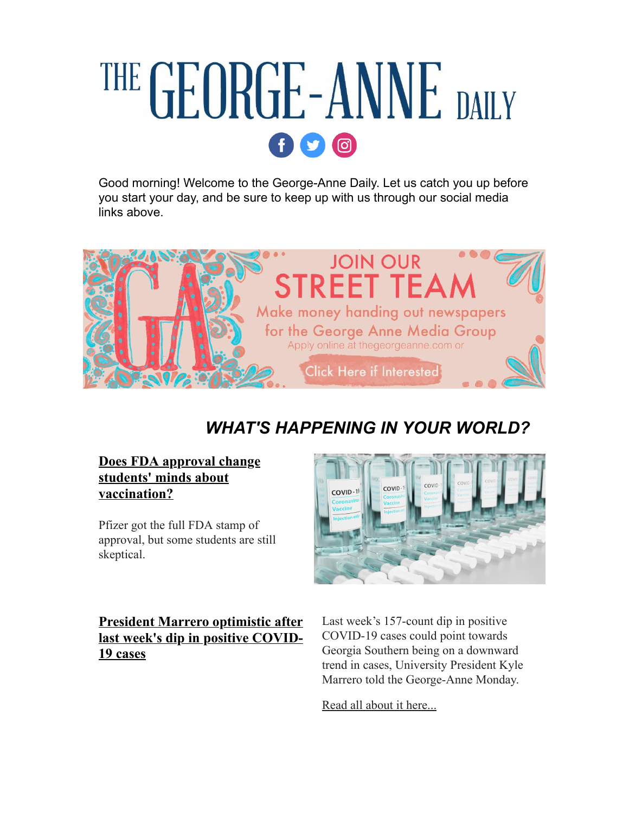# THE GEORGE-ANNE DAILY  $f$   $\circ$   $\circ$

Good morning! Welcome to the George-Anne Daily. Let us catch you up before you start your day, and be sure to keep up with us through our social media links above.



# *WHAT'S HAPPENING IN YOUR WORLD?*

**[Does FDA approval change](https://r20.rs6.net/tn.jsp?f=001MP9rtdmXj8zsJeHFDZDQpWD9fvWwWzxCgugAm6yeR7CgbH9ZVp2Lg5xU_PJ9Ks14W7gix0N2ShyDU-FUIjqEt55Yv6Mye7oPjOmQCQtUVm586VJ94_BzE_4SjC1807g6wuZwJW22W-JbVWEcYeC_fMg73LFCdH1PtsW81brBCfmVWKfowawgIuX5z9IXtoxMe6rNTyNKwJQWu8bThVrsdx0GXxhdxDkaC8n8d8QlD21mLHxmIM9kuQ==&c=WsYEHdoiUU2wINO4oadLL39Xx_HFgkMGBF9j_si4mpHPTsqioR3qDA==&ch=zxfMYmEIrT3MzMUo1aOdYFo64p0AtaPB4UyNABuntw-Bdakf1_v1xw==) students' minds about vaccination?**

Pfizer got the full FDA stamp of approval, but some students are still skeptical.

**President Marrero optimistic after [last week's dip in positive COVID-](https://r20.rs6.net/tn.jsp?f=001MP9rtdmXj8zsJeHFDZDQpWD9fvWwWzxCgugAm6yeR7CgbH9ZVp2Lg5xU_PJ9Ks14JkAPPE6ZX-DHJsfBrm0_08iYznfszcOUVdfISRWJHR_CUI2uMNwtTYL9JBzRwtTum4gimSYVr69dC5zYUVjrdRqDWH1IVUA8pOcFt_mt44BOoduzwIAQP6dtFz0EH66dnPjhyhSZ-CzwCqRi3euURXvU-bgUzeDT4widzlnbXXFvgevNFzlD_uqfCR-GJ5-gKGceznRYeclw4QQ2Ix_qkw==&c=WsYEHdoiUU2wINO4oadLL39Xx_HFgkMGBF9j_si4mpHPTsqioR3qDA==&ch=zxfMYmEIrT3MzMUo1aOdYFo64p0AtaPB4UyNABuntw-Bdakf1_v1xw==)19 cases**



Last week's 157-count dip in positive COVID-19 cases could point towards Georgia Southern being on a downward trend in cases, University President Kyle Marrero told the George-Anne Monday.

[Read all about it here...](https://r20.rs6.net/tn.jsp?f=001MP9rtdmXj8zsJeHFDZDQpWD9fvWwWzxCgugAm6yeR7CgbH9ZVp2Lg5xU_PJ9Ks14JkAPPE6ZX-DHJsfBrm0_08iYznfszcOUVdfISRWJHR_CUI2uMNwtTYL9JBzRwtTum4gimSYVr69dC5zYUVjrdRqDWH1IVUA8pOcFt_mt44BOoduzwIAQP6dtFz0EH66dnPjhyhSZ-CzwCqRi3euURXvU-bgUzeDT4widzlnbXXFvgevNFzlD_uqfCR-GJ5-gKGceznRYeclw4QQ2Ix_qkw==&c=WsYEHdoiUU2wINO4oadLL39Xx_HFgkMGBF9j_si4mpHPTsqioR3qDA==&ch=zxfMYmEIrT3MzMUo1aOdYFo64p0AtaPB4UyNABuntw-Bdakf1_v1xw==)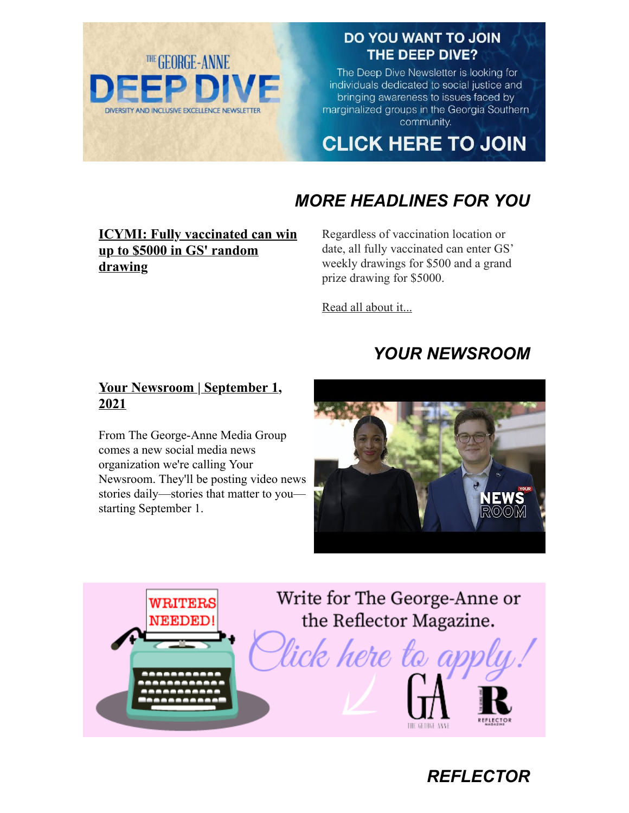

### DO YOU WANT TO JOIN THE DEEP DIVE?

The Deep Dive Newsletter is looking for individuals dedicated to social justice and bringing awareness to issues faced by marginalized groups in the Georgia Southern community.

**CLICK HERE TO JOIN** 

# *MORE HEADLINES FOR YOU*

#### **[ICYMI: Fully vaccinated can win](https://r20.rs6.net/tn.jsp?f=001MP9rtdmXj8zsJeHFDZDQpWD9fvWwWzxCgugAm6yeR7CgbH9ZVp2Lg8MrkH2ck0Gt38H-GGuiMTDrQeQpOTpb4qUQqabL3xXXEQRywOlZcnI2bIWjPlzoRde7Yqrz0rtiiS0va3RvOTrhl71OY_a5oLC7jeZR0Y634rn4GZ_vB8vUDQAWQo921PZZDEVt7-bGwce6vQxvah8n3odad4R9ojwKd0rxlUSnKtB8NYRxcHSP_nqzJJUGXg==&c=WsYEHdoiUU2wINO4oadLL39Xx_HFgkMGBF9j_si4mpHPTsqioR3qDA==&ch=zxfMYmEIrT3MzMUo1aOdYFo64p0AtaPB4UyNABuntw-Bdakf1_v1xw==) up to \$5000 in GS' random drawing**

Regardless of vaccination location or date, all fully vaccinated can enter GS' weekly drawings for \$500 and a grand prize drawing for \$5000.

[Read all about it...](https://r20.rs6.net/tn.jsp?f=001MP9rtdmXj8zsJeHFDZDQpWD9fvWwWzxCgugAm6yeR7CgbH9ZVp2Lg8MrkH2ck0Gt38H-GGuiMTDrQeQpOTpb4qUQqabL3xXXEQRywOlZcnI2bIWjPlzoRde7Yqrz0rtiiS0va3RvOTrhl71OY_a5oLC7jeZR0Y634rn4GZ_vB8vUDQAWQo921PZZDEVt7-bGwce6vQxvah8n3odad4R9ojwKd0rxlUSnKtB8NYRxcHSP_nqzJJUGXg==&c=WsYEHdoiUU2wINO4oadLL39Xx_HFgkMGBF9j_si4mpHPTsqioR3qDA==&ch=zxfMYmEIrT3MzMUo1aOdYFo64p0AtaPB4UyNABuntw-Bdakf1_v1xw==)

# *YOUR NEWSROOM*

#### **[Your Newsroom | September 1,](https://r20.rs6.net/tn.jsp?f=001MP9rtdmXj8zsJeHFDZDQpWD9fvWwWzxCgugAm6yeR7CgbH9ZVp2Lg5xU_PJ9Ks146r9XbTKmcpxTVNo7v92eL8F1OP8uccQppJmptoPk2qsSY4_oJrctYG0aK9BOmZY8CWMYDlGT0X5hHHQ0L2p6JrVYLUqfB_XjUDpendtXxfxrCvo-9I55fSKyDJIEFDwT&c=WsYEHdoiUU2wINO4oadLL39Xx_HFgkMGBF9j_si4mpHPTsqioR3qDA==&ch=zxfMYmEIrT3MzMUo1aOdYFo64p0AtaPB4UyNABuntw-Bdakf1_v1xw==) 2021**

From The George-Anne Media Group comes a new social media news organization we're calling Your Newsroom. They'll be posting video news stories daily—stories that matter to you starting September 1.



*REFLECTOR*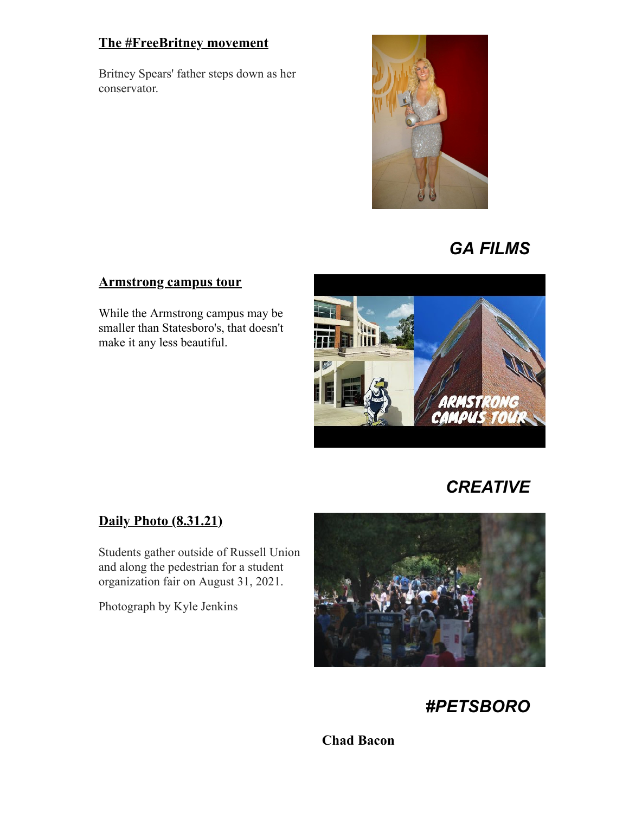#### **[The #FreeBritney movement](https://r20.rs6.net/tn.jsp?f=001MP9rtdmXj8zsJeHFDZDQpWD9fvWwWzxCgugAm6yeR7CgbH9ZVp2Lg5xU_PJ9Ks146QrQs-TDj8Ke1IpDxjSz6a-FhiUll_tGBobd7G7zPIyddtJTYjw0lyJijlno1COlqxTuX2uz1ufCpdqzsaP9gcg9qBUGFAE_664x_mNBQk8dM9h5riCVMl4fFRJ0TXm2f3h8cU37yrd9R5A0k_2C2w==&c=WsYEHdoiUU2wINO4oadLL39Xx_HFgkMGBF9j_si4mpHPTsqioR3qDA==&ch=zxfMYmEIrT3MzMUo1aOdYFo64p0AtaPB4UyNABuntw-Bdakf1_v1xw==)**

Britney Spears' father steps down as her conservator.



# *GA FILMS*

#### **[Armstrong campus tour](https://r20.rs6.net/tn.jsp?f=001MP9rtdmXj8zsJeHFDZDQpWD9fvWwWzxCgugAm6yeR7CgbH9ZVp2Lg5xU_PJ9Ks14gwpPGIZdg3R-ahMoSxUhKOUCKyAxBUPC35YVtZiKuSzMfkO-vPYJlrKuE_aloxR2gWHQwJDQmsiMiMFp9joBemoJYKl2EnC9i05E1lJRM8fCUPf7XFxu1Q==&c=WsYEHdoiUU2wINO4oadLL39Xx_HFgkMGBF9j_si4mpHPTsqioR3qDA==&ch=zxfMYmEIrT3MzMUo1aOdYFo64p0AtaPB4UyNABuntw-Bdakf1_v1xw==)**

While the Armstrong campus may be smaller than Statesboro's, that doesn't make it any less beautiful.



# *CREATIVE*

#### **[Daily Photo \(8.31.21\)](https://r20.rs6.net/tn.jsp?f=001MP9rtdmXj8zsJeHFDZDQpWD9fvWwWzxCgugAm6yeR7CgbH9ZVp2Lg5xU_PJ9Ks14t6Y5A_odDPA700Vjw6FylqkiHKynEPQRU-0LtjCUh_EqBze9h0LWhcZ-b76f1avfzm1NBv9nEt3gJGGPchJHDOC54mmOnzBEq2OGQu4V6v_ByIKIala1Kjt_7HlIs3PjGt2VEG9N1vs=&c=WsYEHdoiUU2wINO4oadLL39Xx_HFgkMGBF9j_si4mpHPTsqioR3qDA==&ch=zxfMYmEIrT3MzMUo1aOdYFo64p0AtaPB4UyNABuntw-Bdakf1_v1xw==)**

Students gather outside of Russell Union and along the pedestrian for a student organization fair on August 31, 2021.

Photograph by Kyle Jenkins



*#PETSBORO*

**Chad Bacon**